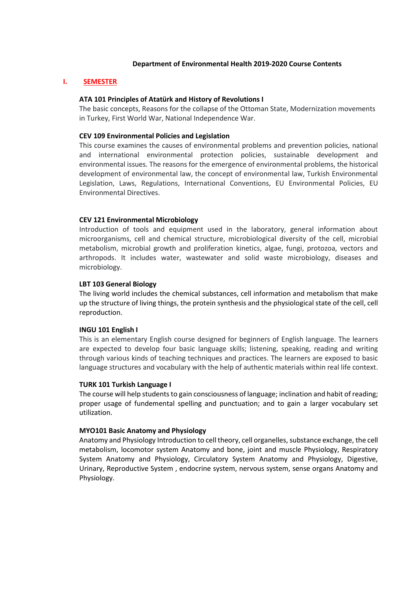### **Department of Environmental Health 2019-2020 Course Contents**

## **I. SEMESTER**

## **ATA 101 Principles of Atatürk and History of Revolutions I**

The basic concepts, Reasons for the collapse of the Ottoman State, Modernization movements in Turkey, First World War, National Independence War.

## **CEV 109 Environmental Policies and Legislation**

This course examines the causes of environmental problems and prevention policies, national and international environmental protection policies, sustainable development and environmental issues. The reasons for the emergence of environmental problems, the historical development of environmental law, the concept of environmental law, Turkish Environmental Legislation, Laws, Regulations, International Conventions, EU Environmental Policies, EU Environmental Directives.

## **CEV 121 Environmental Microbiology**

Introduction of tools and equipment used in the laboratory, general information about microorganisms, cell and chemical structure, microbiological diversity of the cell, microbial metabolism, microbial growth and proliferation kinetics, algae, fungi, protozoa, vectors and arthropods. It includes water, wastewater and solid waste microbiology, diseases and microbiology.

## **LBT 103 General Biology**

The living world includes the chemical substances, cell information and metabolism that make up the structure of living things, the protein synthesis and the physiological state of the cell, cell reproduction.

### **INGU 101 English I**

This is an elementary English course designed for beginners of English language. The learners are expected to develop four basic language skills; listening, speaking, reading and writing through various kinds of teaching techniques and practices. The learners are exposed to basic language structures and vocabulary with the help of authentic materials within real life context.

### **TURK 101 Turkish Language I**

The course will help students to gain consciousness of language; inclination and habit of reading; proper usage of fundemental spelling and punctuation; and to gain a larger vocabulary set utilization.

### **MYO101 Basic Anatomy and Physiology**

Anatomy and Physiology Introduction to cell theory, cell organelles, substance exchange, the cell metabolism, locomotor system Anatomy and bone, joint and muscle Physiology, Respiratory System Anatomy and Physiology, Circulatory System Anatomy and Physiology, Digestive, Urinary, Reproductive System , endocrine system, nervous system, sense organs Anatomy and Physiology.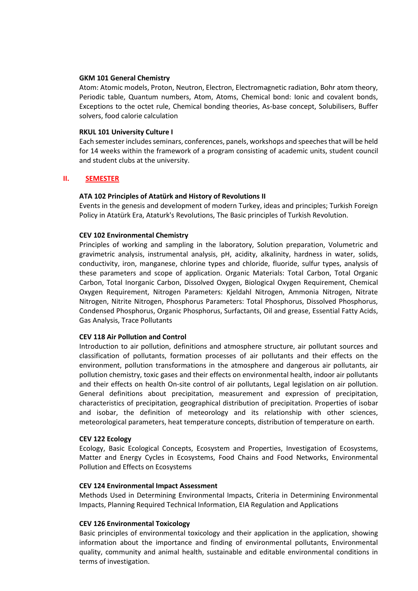### **GKM 101 General Chemistry**

Atom: Atomic models, Proton, Neutron, Electron, Electromagnetic radiation, Bohr atom theory, Periodic table, Quantum numbers, Atom, Atoms, Chemical bond: Ionic and covalent bonds, Exceptions to the octet rule, Chemical bonding theories, As-base concept, Solubilisers, Buffer solvers, food calorie calculation

#### **RKUL 101 University Culture I**

Each semester includes seminars, conferences, panels, workshops and speeches that will be held for 14 weeks within the framework of a program consisting of academic units, student council and student clubs at the university.

### **II. SEMESTER**

### **ATA 102 Principles of Atatürk and History of Revolutions II**

Events in the genesis and development of modern Turkey, ideas and principles; Turkish Foreign Policy in Atatürk Era, Ataturk's Revolutions, The Basic principles of Turkish Revolution.

### **CEV 102 Environmental Chemistry**

Principles of working and sampling in the laboratory, Solution preparation, Volumetric and gravimetric analysis, instrumental analysis, pH, acidity, alkalinity, hardness in water, solids, conductivity, iron, manganese, chlorine types and chloride, fluoride, sulfur types, analysis of these parameters and scope of application. Organic Materials: Total Carbon, Total Organic Carbon, Total Inorganic Carbon, Dissolved Oxygen, Biological Oxygen Requirement, Chemical Oxygen Requirement, Nitrogen Parameters: Kjeldahl Nitrogen, Ammonia Nitrogen, Nitrate Nitrogen, Nitrite Nitrogen, Phosphorus Parameters: Total Phosphorus, Dissolved Phosphorus, Condensed Phosphorus, Organic Phosphorus, Surfactants, Oil and grease, Essential Fatty Acids, Gas Analysis, Trace Pollutants

### **CEV 118 Air Pollution and Control**

Introduction to air pollution, definitions and atmosphere structure, air pollutant sources and classification of pollutants, formation processes of air pollutants and their effects on the environment, pollution transformations in the atmosphere and dangerous air pollutants, air pollution chemistry, toxic gases and their effects on environmental health, indoor air pollutants and their effects on health On-site control of air pollutants, Legal legislation on air pollution. General definitions about precipitation, measurement and expression of precipitation, characteristics of precipitation, geographical distribution of precipitation. Properties of isobar and isobar, the definition of meteorology and its relationship with other sciences, meteorological parameters, heat temperature concepts, distribution of temperature on earth.

### **CEV 122 Ecology**

Ecology, Basic Ecological Concepts, Ecosystem and Properties, Investigation of Ecosystems, Matter and Energy Cycles in Ecosystems, Food Chains and Food Networks, Environmental Pollution and Effects on Ecosystems

### **CEV 124 Environmental Impact Assessment**

Methods Used in Determining Environmental Impacts, Criteria in Determining Environmental Impacts, Planning Required Technical Information, EIA Regulation and Applications

### **CEV 126 Environmental Toxicology**

Basic principles of environmental toxicology and their application in the application, showing information about the importance and finding of environmental pollutants, Environmental quality, community and animal health, sustainable and editable environmental conditions in terms of investigation.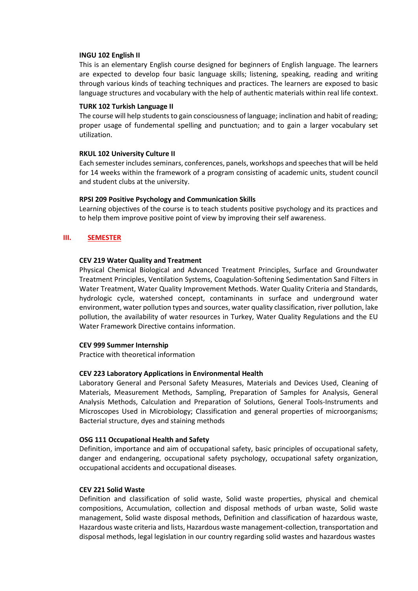### **INGU 102 English II**

This is an elementary English course designed for beginners of English language. The learners are expected to develop four basic language skills; listening, speaking, reading and writing through various kinds of teaching techniques and practices. The learners are exposed to basic language structures and vocabulary with the help of authentic materials within real life context.

## **TURK 102 Turkish Language II**

The course will help students to gain consciousness of language; inclination and habit of reading; proper usage of fundemental spelling and punctuation; and to gain a larger vocabulary set utilization.

## **RKUL 102 University Culture II**

Each semester includes seminars, conferences, panels, workshops and speeches that will be held for 14 weeks within the framework of a program consisting of academic units, student council and student clubs at the university.

# **RPSI 209 Positive Psychology and Communication Skills**

Learning objectives of the course is to teach students positive psychology and its practices and to help them improve positive point of view by improving their self awareness.

# **III. SEMESTER**

# **CEV 219 Water Quality and Treatment**

Physical Chemical Biological and Advanced Treatment Principles, Surface and Groundwater Treatment Principles, Ventilation Systems, Coagulation-Softening Sedimentation Sand Filters in Water Treatment, Water Quality Improvement Methods. Water Quality Criteria and Standards, hydrologic cycle, watershed concept, contaminants in surface and underground water environment, water pollution types and sources, water quality classification, river pollution, lake pollution, the availability of water resources in Turkey, Water Quality Regulations and the EU Water Framework Directive contains information.

# **CEV 999 Summer Internship**

Practice with theoretical information

# **CEV 223 Laboratory Applications in Environmental Health**

Laboratory General and Personal Safety Measures, Materials and Devices Used, Cleaning of Materials, Measurement Methods, Sampling, Preparation of Samples for Analysis, General Analysis Methods, Calculation and Preparation of Solutions, General Tools-Instruments and Microscopes Used in Microbiology; Classification and general properties of microorganisms; Bacterial structure, dyes and staining methods

### **OSG 111 Occupational Health and Safety**

Definition, importance and aim of occupational safety, basic principles of occupational safety, danger and endangering, occupational safety psychology, occupational safety organization, occupational accidents and occupational diseases.

## **CEV 221 Solid Waste**

Definition and classification of solid waste, Solid waste properties, physical and chemical compositions, Accumulation, collection and disposal methods of urban waste, Solid waste management, Solid waste disposal methods, Definition and classification of hazardous waste, Hazardous waste criteria and lists, Hazardous waste management-collection, transportation and disposal methods, legal legislation in our country regarding solid wastes and hazardous wastes